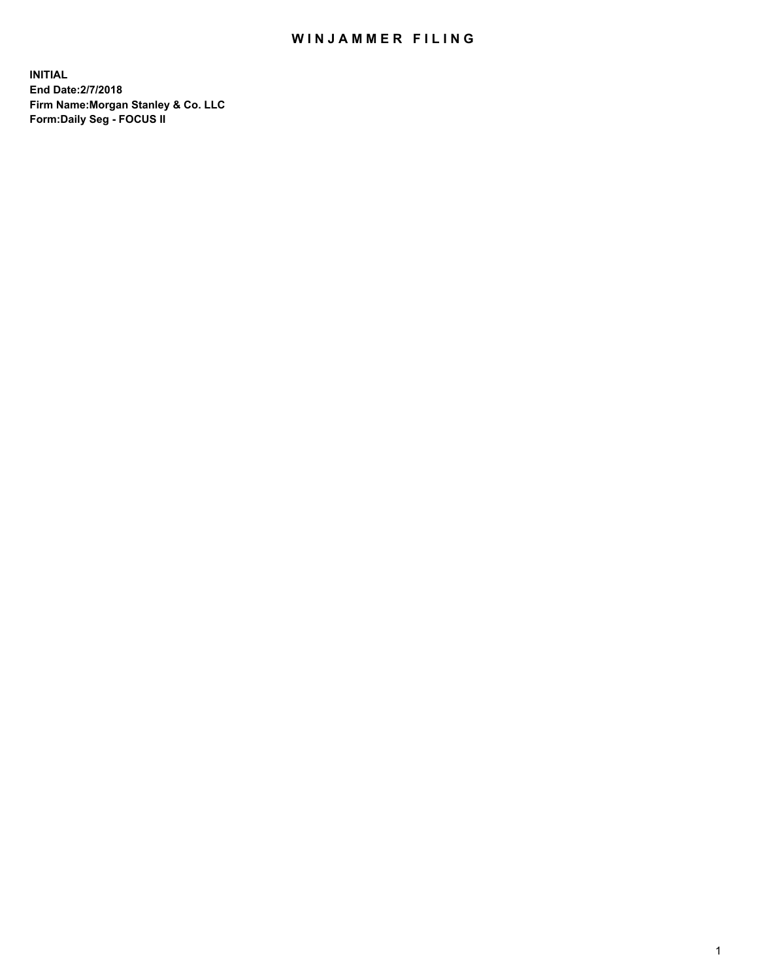## WIN JAMMER FILING

**INITIAL End Date:2/7/2018 Firm Name:Morgan Stanley & Co. LLC Form:Daily Seg - FOCUS II**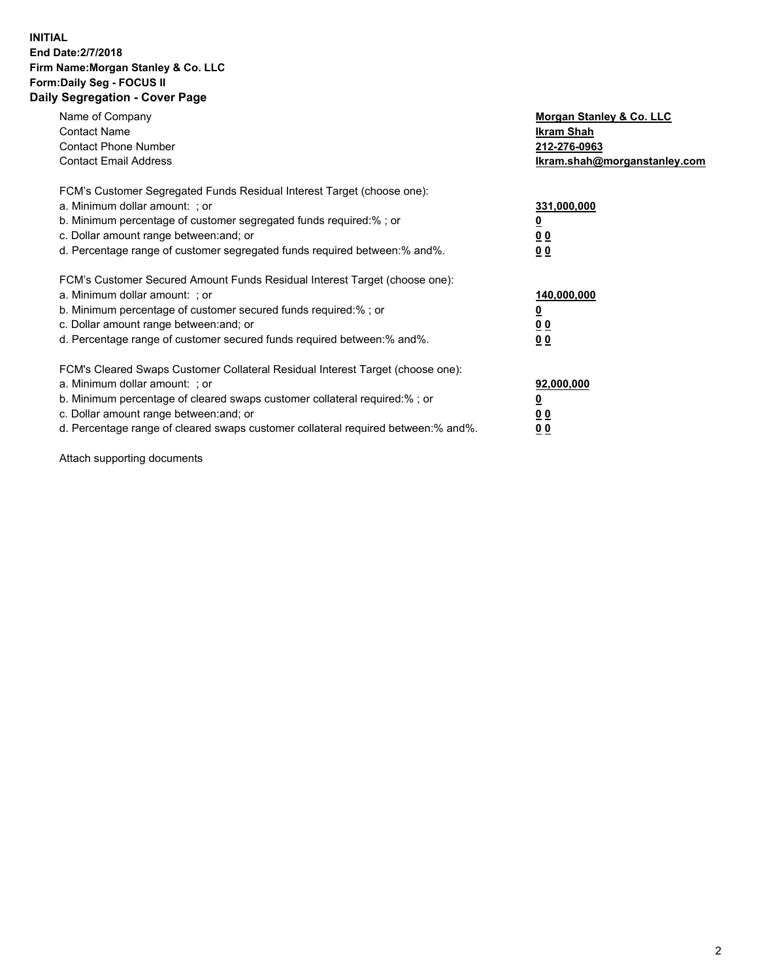#### **INITIAL End Date:2/7/2018 Firm Name:Morgan Stanley & Co. LLC Form:Daily Seg - FOCUS II Daily Segregation - Cover Page**

| Name of Company                                                                   | Morgan Stanley & Co. LLC     |
|-----------------------------------------------------------------------------------|------------------------------|
| <b>Contact Name</b>                                                               | Ikram Shah                   |
| <b>Contact Phone Number</b>                                                       | 212-276-0963                 |
| <b>Contact Email Address</b>                                                      | Ikram.shah@morganstanley.com |
| FCM's Customer Segregated Funds Residual Interest Target (choose one):            |                              |
| a. Minimum dollar amount: : or                                                    | 331,000,000                  |
| b. Minimum percentage of customer segregated funds required:%; or                 |                              |
| c. Dollar amount range between: and; or                                           | <u>00</u>                    |
| d. Percentage range of customer segregated funds required between: % and %.       | 00                           |
| FCM's Customer Secured Amount Funds Residual Interest Target (choose one):        |                              |
| a. Minimum dollar amount: ; or                                                    | 140,000,000                  |
| b. Minimum percentage of customer secured funds required:%; or                    |                              |
| c. Dollar amount range between: and; or                                           | 00                           |
| d. Percentage range of customer secured funds required between: % and %.          | <u>00</u>                    |
| FCM's Cleared Swaps Customer Collateral Residual Interest Target (choose one):    |                              |
| a. Minimum dollar amount: ; or                                                    | 92,000,000                   |
| b. Minimum percentage of cleared swaps customer collateral required:% ; or        | <u>0</u>                     |
| c. Dollar amount range between: and; or                                           | <u>00</u>                    |
| d. Percentage range of cleared swaps customer collateral required between:% and%. | 00                           |

Attach supporting documents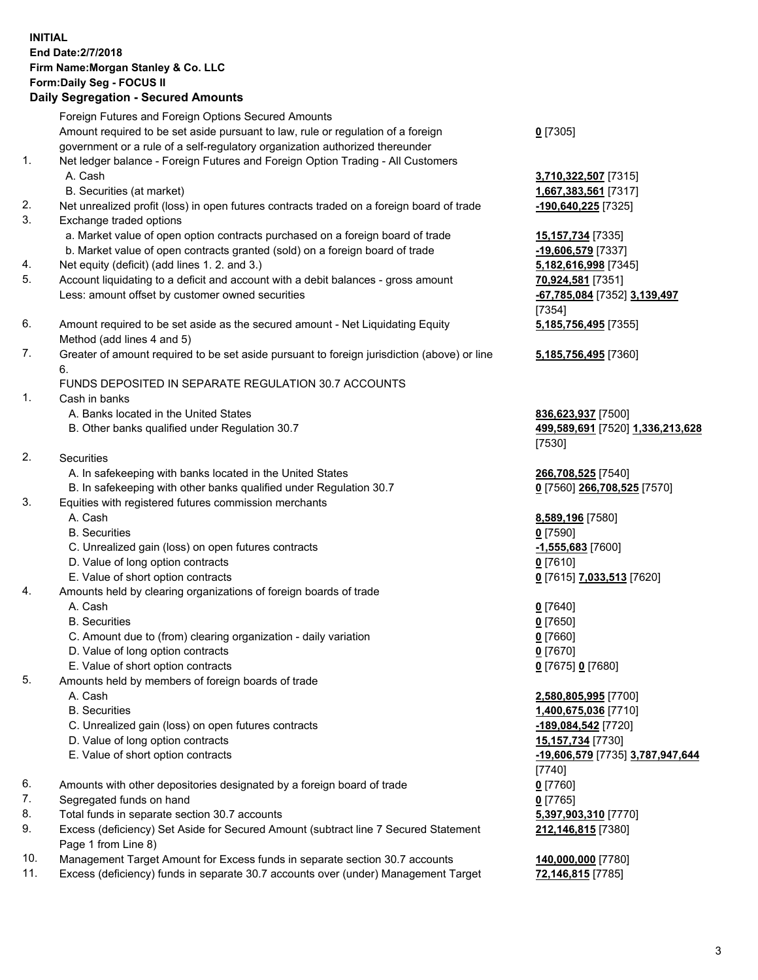# **INITIAL End Date:2/7/2018 Firm Name:Morgan Stanley & Co. LLC Form:Daily Seg - FOCUS II**

### **Daily Segregation - Secured Amounts**

|                | Foreign Futures and Foreign Options Secured Amounts                                                        |                                  |
|----------------|------------------------------------------------------------------------------------------------------------|----------------------------------|
|                | Amount required to be set aside pursuant to law, rule or regulation of a foreign                           | $0$ [7305]                       |
|                | government or a rule of a self-regulatory organization authorized thereunder                               |                                  |
| $\mathbf{1}$ . | Net ledger balance - Foreign Futures and Foreign Option Trading - All Customers                            |                                  |
|                | A. Cash                                                                                                    | 3,710,322,507 [7315]             |
|                | B. Securities (at market)                                                                                  | 1,667,383,561 [7317]             |
| 2.             | Net unrealized profit (loss) in open futures contracts traded on a foreign board of trade                  | -190,640,225 [7325]              |
| 3.             | Exchange traded options                                                                                    |                                  |
|                | a. Market value of open option contracts purchased on a foreign board of trade                             | 15,157,734 [7335]                |
|                | b. Market value of open contracts granted (sold) on a foreign board of trade                               | -19,606,579 [7337]               |
| 4.             | Net equity (deficit) (add lines 1.2. and 3.)                                                               | 5,182,616,998 [7345]             |
| 5.             | Account liquidating to a deficit and account with a debit balances - gross amount                          | 70,924,581 [7351]                |
|                | Less: amount offset by customer owned securities                                                           | -67,785,084 [7352] 3,139,497     |
|                |                                                                                                            | [7354]                           |
| 6.             | Amount required to be set aside as the secured amount - Net Liquidating Equity                             | 5,185,756,495 [7355]             |
|                | Method (add lines 4 and 5)                                                                                 |                                  |
| 7.             | Greater of amount required to be set aside pursuant to foreign jurisdiction (above) or line<br>6.          | 5,185,756,495 [7360]             |
|                | FUNDS DEPOSITED IN SEPARATE REGULATION 30.7 ACCOUNTS                                                       |                                  |
| $\mathbf{1}$ . | Cash in banks                                                                                              |                                  |
|                | A. Banks located in the United States                                                                      | 836,623,937 [7500]               |
|                | B. Other banks qualified under Regulation 30.7                                                             | 499,589,691 [7520] 1,336,213,628 |
|                |                                                                                                            | [7530]                           |
| 2.             | Securities                                                                                                 |                                  |
|                | A. In safekeeping with banks located in the United States                                                  | 266,708,525 [7540]               |
|                | B. In safekeeping with other banks qualified under Regulation 30.7                                         | 0 [7560] 266,708,525 [7570]      |
| 3.             | Equities with registered futures commission merchants                                                      |                                  |
|                | A. Cash                                                                                                    | 8,589,196 [7580]                 |
|                | <b>B.</b> Securities                                                                                       | $0$ [7590]                       |
|                | C. Unrealized gain (loss) on open futures contracts                                                        | $-1,555,683$ [7600]              |
|                | D. Value of long option contracts                                                                          | $0$ [7610]                       |
|                | E. Value of short option contracts                                                                         | 0 [7615] 7,033,513 [7620]        |
| 4.             | Amounts held by clearing organizations of foreign boards of trade                                          |                                  |
|                | A. Cash                                                                                                    | $0$ [7640]                       |
|                | <b>B.</b> Securities                                                                                       | $0$ [7650]                       |
|                | C. Amount due to (from) clearing organization - daily variation                                            | $0$ [7660]                       |
|                | D. Value of long option contracts                                                                          | $0$ [7670]                       |
|                | E. Value of short option contracts                                                                         | 0 [7675] 0 [7680]                |
| 5.             | Amounts held by members of foreign boards of trade                                                         |                                  |
|                | A. Cash                                                                                                    | 2,580,805,995 [7700]             |
|                | <b>B.</b> Securities                                                                                       | 1,400,675,036 [7710]             |
|                | C. Unrealized gain (loss) on open futures contracts                                                        | -189,084,542 [7720]              |
|                | D. Value of long option contracts                                                                          | 15,157,734 [7730]                |
|                | E. Value of short option contracts                                                                         | -19,606,579 [7735] 3,787,947,644 |
|                |                                                                                                            | [7740]                           |
| 6.             | Amounts with other depositories designated by a foreign board of trade                                     | $0$ [7760]                       |
| 7.             | Segregated funds on hand                                                                                   | $0$ [7765]                       |
| 8.             | Total funds in separate section 30.7 accounts                                                              | 5,397,903,310 [7770]             |
| 9.             | Excess (deficiency) Set Aside for Secured Amount (subtract line 7 Secured Statement<br>Page 1 from Line 8) | 212,146,815 [7380]               |
| 10.            | Management Target Amount for Excess funds in separate section 30.7 accounts                                | 140,000,000 [7780]               |
| 11.            | Excess (deficiency) funds in separate 30.7 accounts over (under) Management Target                         | 72,146,815 [7785]                |
|                |                                                                                                            |                                  |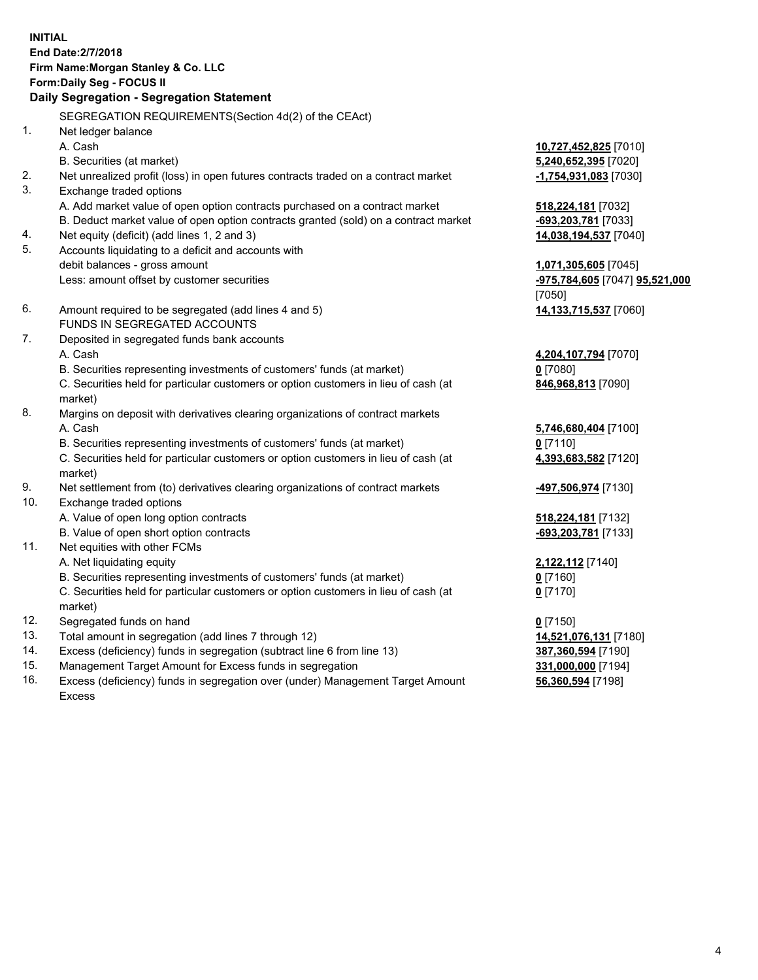# **INITIAL End Date:2/7/2018 Firm Name:Morgan Stanley & Co. LLC Form:Daily Seg - FOCUS II**

# **Daily Segregation - Segregation Statement**

SEGREGATION REQUIREMENTS(Section 4d(2) of the CEAct) 1. Net ledger balance A. Cash **10,727,452,825** [7010] B. Securities (at market) **5,240,652,395** [7020] 2. Net unrealized profit (loss) in open futures contracts traded on a contract market **-1,754,931,083** [7030] 3. Exchange traded options A. Add market value of open option contracts purchased on a contract market **518,224,181** [7032] B. Deduct market value of open option contracts granted (sold) on a contract market **-693,203,781** [7033] 4. Net equity (deficit) (add lines 1, 2 and 3) **14,038,194,537** [7040] 5. Accounts liquidating to a deficit and accounts with debit balances - gross amount **1,071,305,605** [7045] Less: amount offset by customer securities **-975,784,605** [7047] **95,521,000** [7050] 6. Amount required to be segregated (add lines 4 and 5) **14,133,715,537** [7060] FUNDS IN SEGREGATED ACCOUNTS 7. Deposited in segregated funds bank accounts A. Cash **4,204,107,794** [7070] B. Securities representing investments of customers' funds (at market) **0** [7080] C. Securities held for particular customers or option customers in lieu of cash (at market) 8. Margins on deposit with derivatives clearing organizations of contract markets A. Cash **5,746,680,404** [7100] B. Securities representing investments of customers' funds (at market) **0** [7110] C. Securities held for particular customers or option customers in lieu of cash (at market) 9. Net settlement from (to) derivatives clearing organizations of contract markets **-497,506,974** [7130] 10. Exchange traded options A. Value of open long option contracts **518,224,181** [7132] B. Value of open short option contracts **-693,203,781** [7133] 11. Net equities with other FCMs A. Net liquidating equity **2,122,112** [7140] B. Securities representing investments of customers' funds (at market) **0** [7160] C. Securities held for particular customers or option customers in lieu of cash (at market) **0** [7170] 12. Segregated funds on hand **0** [7150] 13. Total amount in segregation (add lines 7 through 12) **14,521,076,131** [7180] 14. Excess (deficiency) funds in segregation (subtract line 6 from line 13) **387,360,594** [7190]

- 15. Management Target Amount for Excess funds in segregation **331,000,000** [7194]
- 16. Excess (deficiency) funds in segregation over (under) Management Target Amount Excess

**846,968,813** [7090]

**4,393,683,582** [7120]

**56,360,594** [7198]